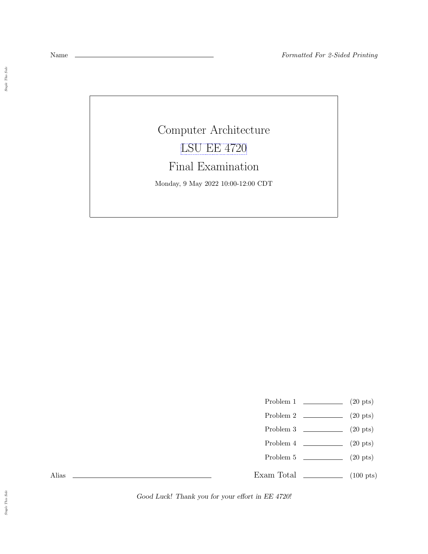$\emph{Staple This Side}$ 

Computer Architecture [LSU EE 4720](https://www.ece.lsu.edu/ee4720/) Final Examination Monday, 9 May 2022 10:00-12:00 CDT

Problem 1 (20 pts)

- Problem 2  $\qquad \qquad$  (20 pts)
- Problem 3  $\qquad \qquad (20 \text{ pts})$
- Problem 4  $\qquad \qquad (20 \text{ pts})$
- Problem 5 (20 pts)

Exam Total \_\_\_\_\_\_\_\_\_\_\_\_\_\_ (100 pts)

Alias

Good Luck! Thank you for your effort in EE 4720!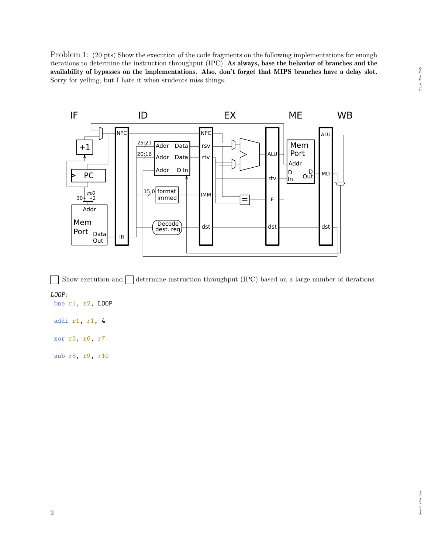Problem 1: (20 pts) Show the execution of the code fragments on the following implementations for enough iterations to determine the instruction throughput (IPC). As always, base the behavior of branches and the availability of bypasses on the implementations. Also, don't forget that MIPS branches have a delay slot. Sorry for yelling, but I hate it when students miss things.



Show execution and  $\Box$  determine instruction throughput (IPC) based on a large number of iterations. LOOP: bne r1, r2, LOOP

addi r1, r1, 4

xor r5, r6, r7

sub r8, r9, r10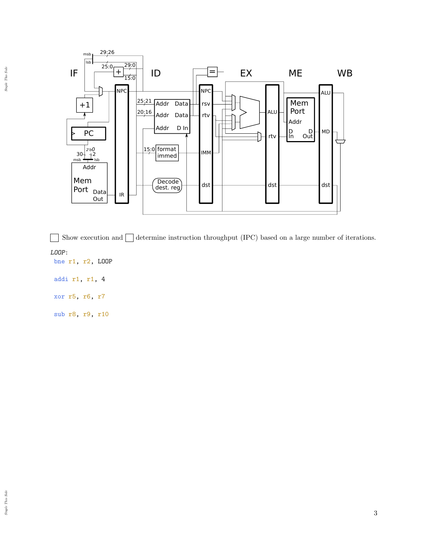

Show execution and  $\Box$  determine instruction throughput (IPC) based on a large number of iterations.  $\blacksquare$ 

LOOP:

bne r1, r2, LOOP

addi r1, r1, 4

xor r5, r6, r7

sub r8, r9, r10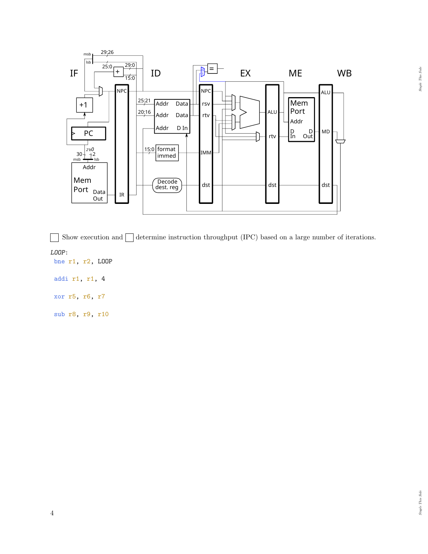

Show execution and  $\Box$  determine instruction throughput (IPC) based on a large number of iterations.  $\overline{\phantom{a}}$ 

LOOP:

bne r1, r2, LOOP

addi r1, r1, 4

xor r5, r6, r7

sub r8, r9, r10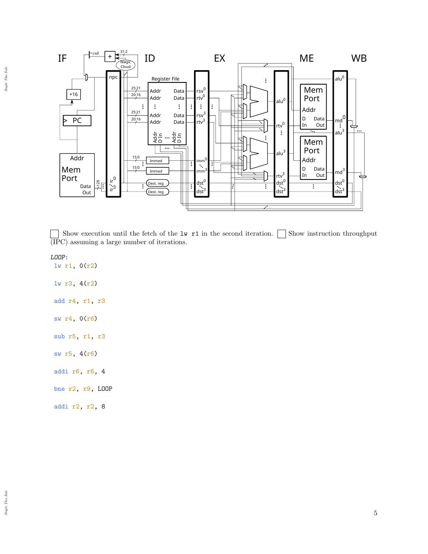

 $\Box$ Show execution until the fetch of the lw r1 in the second iteration.  $\Box$  Show instruction throughput (IPC) assuming a large number of iterations.

LOOP:

lw r1, 0(r2) lw r3, 4(r2) add r4, r1, r3

sw r4, 0(r6)

- sub r5, r1, r3
- sw r5, 4(r6)
- addi r6, r6, 4
- bne r2, r9, LOOP
- addi r2, r2, 8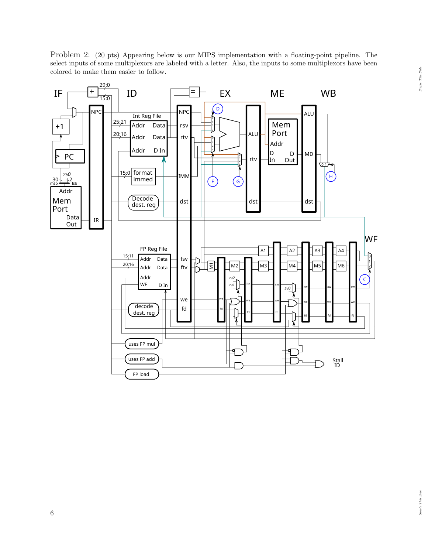Problem 2: (20 pts) Appearing below is our MIPS implementation with a floating-point pipeline. The select inputs of some multiplexors are labeled with a letter. Also, the inputs to some multiplexors have been colored to make them easier to follow.

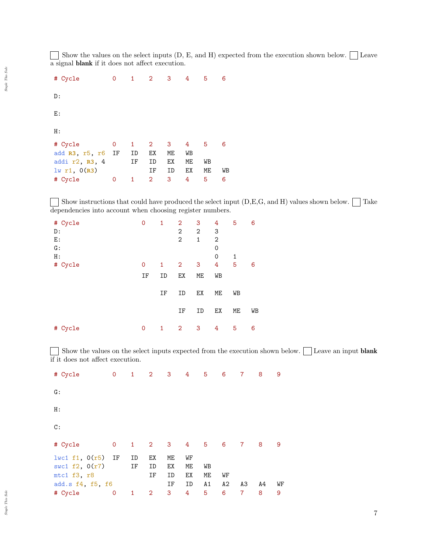Show the values on the select inputs (D, E, and H) expected from the execution shown below.  $\Box$  Leave a signal blank if it does not affect execution.

| # Cycle           | $\mathbf{O}$ | $\mathbf{1}$ | $2^{\circ}$    | $\overline{\mathbf{3}}$ | $\overline{4}$ | - 5 | 6  |
|-------------------|--------------|--------------|----------------|-------------------------|----------------|-----|----|
| D:                |              |              |                |                         |                |     |    |
| E:                |              |              |                |                         |                |     |    |
| H:                |              |              |                |                         |                |     |    |
| # Cycle           | 0            | $\mathbf{1}$ | 2 <sup>1</sup> | 3                       | 4              | - 5 | 6  |
| add R3, r5, r6 IF |              | ID           | EX             | ME                      | WB             |     |    |
| addi r2, R3, 4    |              | IF           | ID             | ЕX                      | МE             | WB  |    |
| $lw$ r1, $0(R3)$  |              |              | ΙF             | ID                      | EХ             | МE  | WB |
| # Cycle           | 0            | 1            | $\overline{2}$ | 3                       | 4              | 5   | 6  |

 $\boxed{\phantom{\text{F}}\phantom{F}}$  Show instructions that could have produced the select input (D,E,G, and H) values shown below.  $\boxed{\phantom{F}}$  Take dependencies into account when choosing register numbers.

| # Cycle | 0           | 1  | 2              | 3            | 4              | 5  | 6  |
|---------|-------------|----|----------------|--------------|----------------|----|----|
| D:      |             |    | $\mathbf{2}$   | 2            | 3              |    |    |
| E:      |             |    | $\mathbf{2}$   | $\mathbf{1}$ | $\overline{2}$ |    |    |
| G:      |             |    |                |              | 0              |    |    |
| H:      |             |    |                |              | 0              | 1  |    |
| # Cycle | $\mathbf 0$ | 1  | $\overline{2}$ | 3            | 4              | 5  | 6  |
|         | IF          | ID | EX             | ME           | WB             |    |    |
|         |             | IF | ID             | ЕX           | ME             | WB |    |
|         |             |    | IF             | ID           | EX             | ME | WB |
| # Cycle | $\mathbf 0$ | 1  | $\overline{2}$ | 3            | 4              | 5  | 6  |

Show the values on the select inputs expected from the execution shown below. Leave an input **blank** if it does not affect execution.

| # Cycle                                                                          | $\mathbf 0$  | $\mathbf{1}$ | $\overline{2}$ | 3                    | 4                    | $5^{\circ}$    | 6        | $\overline{7}$ | 8  | 9  |
|----------------------------------------------------------------------------------|--------------|--------------|----------------|----------------------|----------------------|----------------|----------|----------------|----|----|
| G:                                                                               |              |              |                |                      |                      |                |          |                |    |    |
| H:                                                                               |              |              |                |                      |                      |                |          |                |    |    |
| $\mathbb{C}$ :                                                                   |              |              |                |                      |                      |                |          |                |    |    |
| # Cycle                                                                          | $\mathsf{O}$ | $\mathbf{1}$ | $2^{\circ}$    | 3 <sup>7</sup>       | $4 \quad$            | - 5            | 6        | $\overline{7}$ | 8  | 9  |
| $l$ wc1 f1, $0(r5)$ IF<br>swc1 $f2$ , $0(r7)$<br>mtc1 f3, r8<br>add.s f4, f5, f6 |              | ID<br>IF     | ЕX<br>ID<br>IF | ME<br>EX<br>ID<br>IF | WF<br>ME<br>ЕX<br>ID | WB<br>МE<br>A1 | WF<br>A2 | ΑЗ             | A4 | WF |
| # Cycle                                                                          | 0            | 1            | $\overline{2}$ | 3                    | 4                    | 5              | 6        | 7              | 8  | 9  |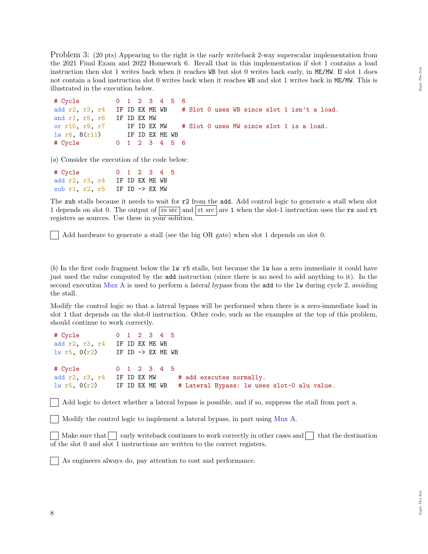Problem 3: (20 pts) Appearing to the right is the early writeback 2-way superscalar implementation from the 2021 Final Exam and 2022 Homework 6. Recall that in this implementation if slot 1 contains a load instruction then slot 1 writes back when it reaches WB but slot 0 writes back early, in ME/MW. If slot 1 does not contain a load instruction slot 0 writes back when it reaches WB and slot 1 writes back in ME/MW. This is illustrated in the execution below.

```
# Cycle 0 1 2 3 4 5 6
add r2, r3, r4 IF ID EX ME WB # Slot 0 uses WB since slot 1 isn't a load.
and r1, r5, r6 IF ID EX MW
or r10, r9, r7 IF ID EX MW # Slot 0 uses MW since slot 1 is a load.
lw r6, 8(r11) IF ID EX ME WB
# Cycle 0 1 2 3 4 5 6
```
(a) Consider the execution of the code below:

| # Cycle | 0 1 2 3 4 5                              |
|---------|------------------------------------------|
|         | add r2, r3, r4 IF ID EX ME WB            |
|         | sub r1, r2, r5 IF ID $\rightarrow$ EX MW |

The sub stalls because it needs to wait for r2 from the add. Add control logic to generate a stall when slot 1 depends on slot 0. The output of  $\overline{rs \text{ src}}$  and  $\vert$  rt src  $\vert$  are 1 when the slot-1 instruction uses the rs and rt registers as sources. Use these in your solution.

Add hardware to generate a stall (see the big OR gate) when slot 1 depends on slot 0.

(b) In the first code fragment below the lw r5 stalls, but because the lw has a zero immediate it could have just used the value computed by the add instruction (since there is no need to add anything to it). In the second execution Mux A is used to perform a lateral bypass from the add to the lw during cycle 2, avoiding the stall.

Modify the control logic so that a lateral bypass will be performed when there is a zero-immediate load in slot 1 that depends on the slot-0 instruction. Other code, such as the examples at the top of this problem, should continue to work correctly.

```
# Cycle 0 1 2 3 4 5
add r2, r3, r4 IF ID EX ME WB
lw r5, O(r2) IF ID -> EX ME WB
# Cycle 0 1 2 3 4 5
add r2, r3, r4 IF ID EX MW # add executes normally.
lw r5, 0(r2) IF ID EX ME WB # Lateral Bypass: lw uses slot-0 alu value.
```
Add logic to detect whether a lateral bypass is possible, and if so, suppress the stall from part a.

Modify the control logic to implement a lateral bypass, in part using Mux A.

Make sure that  $\left| \right|$  early writeback continues to work correctly in other cases and  $\left| \right|$  that the destination of the slot 0 and slot 1 instructions are written to the correct registers.

As engineers always do, pay attention to cost and performance.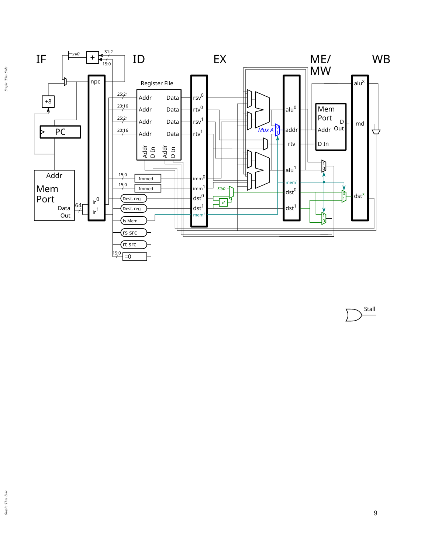

Stall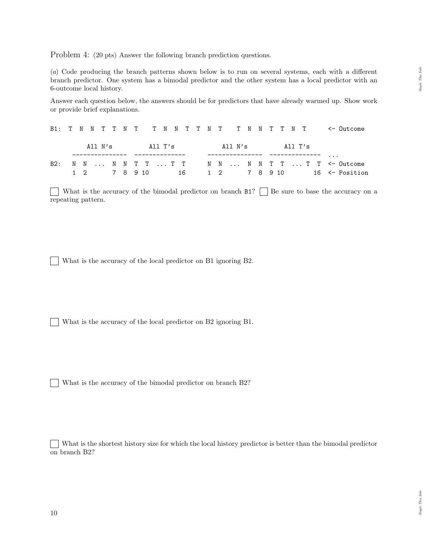Problem 4: (20 pts) Answer the following branch prediction questions.

(a) Code producing the branch patterns shown below is to run on several systems, each with a different branch predictor. One system has a bimodal predictor and the other system has a local predictor with an 6-outcome local history.

Answer each question below, the answers should be for predictors that have already warmed up. Show work or provide brief explanations.

|  |  |  |  |  |  |  |                                 |  |  |  | B1: T N N T T N T T N N T T N T T N N T T N T <- Outcome |
|--|--|--|--|--|--|--|---------------------------------|--|--|--|----------------------------------------------------------|
|  |  |  |  |  |  |  | All N's All T's All N's All T's |  |  |  |                                                          |
|  |  |  |  |  |  |  |                                 |  |  |  | $\cdots$                                                 |
|  |  |  |  |  |  |  |                                 |  |  |  | B2: N N  N N T T  T T W N  N N T T  T T <- Outcome       |
|  |  |  |  |  |  |  |                                 |  |  |  | 1 2 7 8 9 10 16 1 2 7 8 9 10 16 <- Position              |

What is the accuracy of the bimodal predictor on branch  $B1$ ?  $\Box$  Be sure to base the accuracy on a  $\Box$ repeating pattern.

What is the accuracy of the local predictor on B1 ignoring B2.

What is the accuracy of the local predictor on B2 ignoring B1.

What is the accuracy of the bimodal predictor on branch B2?

What is the shortest history size for which the local history predictor is better than the bimodal predictor on branch B2?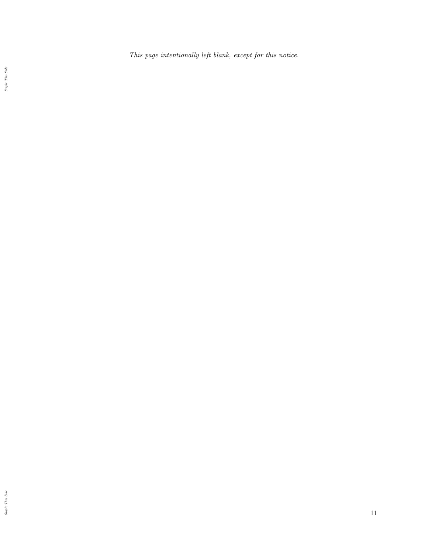This page intentionally left blank, except for this notice.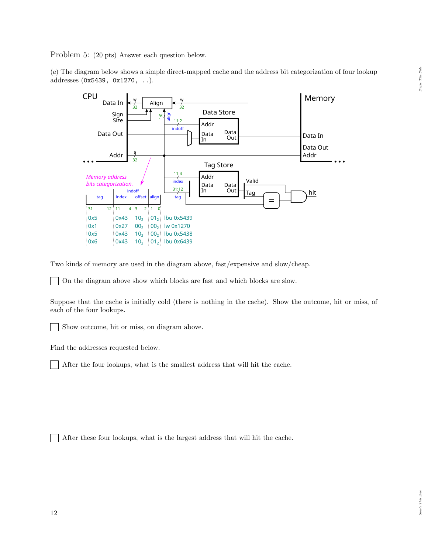Problem 5: (20 pts) Answer each question below.

(a) The diagram below shows a simple direct-mapped cache and the address bit categorization of four lookup addresses (0x5439, 0x1270, ..).



Two kinds of memory are used in the diagram above, fast/expensive and slow/cheap.

On the diagram above show which blocks are fast and which blocks are slow.

Suppose that the cache is initially cold (there is nothing in the cache). Show the outcome, hit or miss, of each of the four lookups.

Show outcome, hit or miss, on diagram above.

Find the addresses requested below.

 $\blacksquare$ After the four lookups, what is the smallest address that will hit the cache.

After these four lookups, what is the largest address that will hit the cache.  $\mathbb{R}$